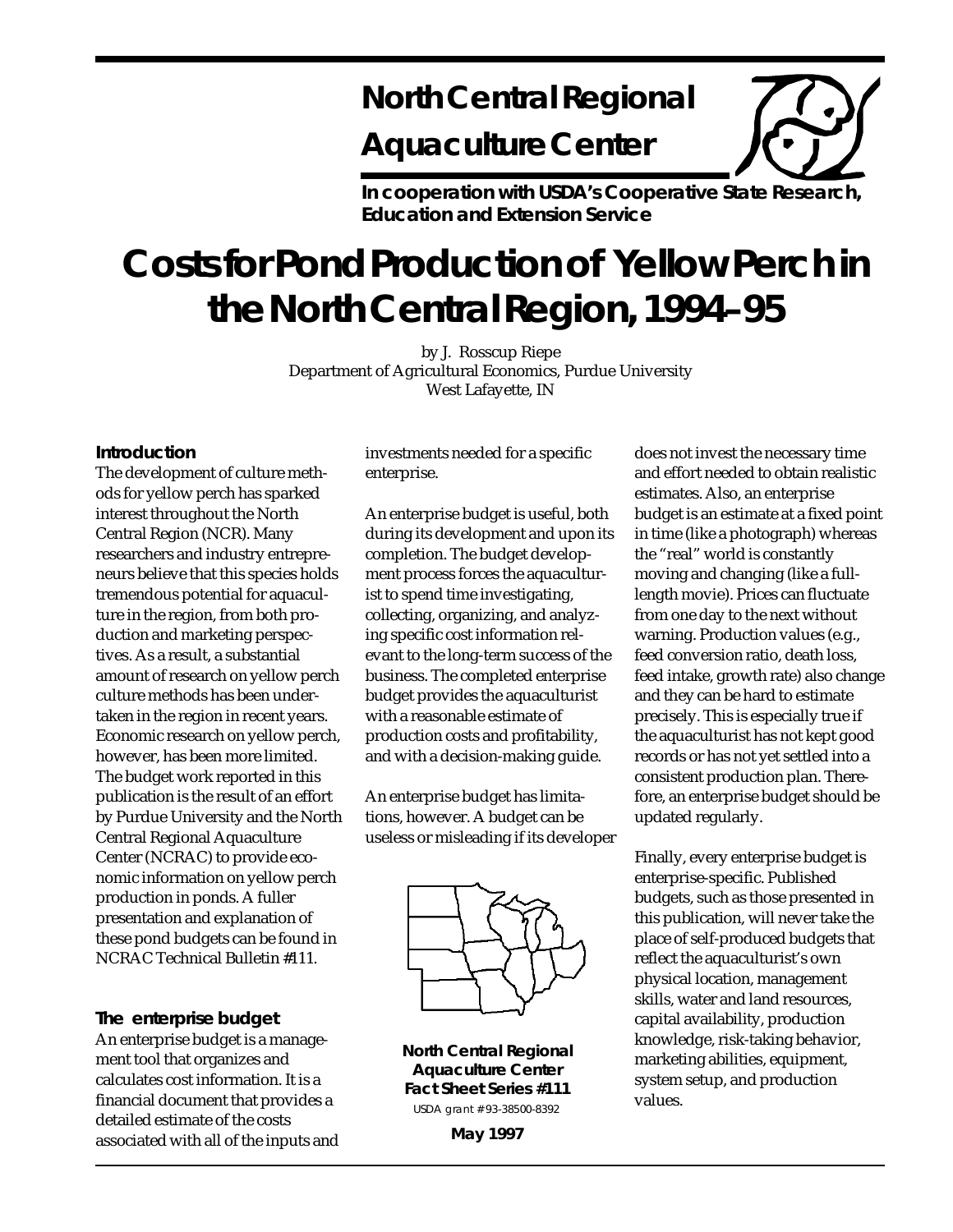# **North Central Regional**

# **Aquaculture Center**

**In cooperation with USDA's Cooperative State Research, Education and Extension Service**

# **Costs for Pond Production of Yellow Perch in the North Central Region, 1994–95**

by J. Rosscup Riepe Department of Agricultural Economics, Purdue University West Lafayette, IN

#### **Introduction**

The development of culture methods for yellow perch has sparked interest throughout the North Central Region (NCR). Many researchers and industry entrepreneurs believe that this species holds tremendous potential for aquaculture in the region, from both production and marketing perspectives. As a result, a substantial amount of research on yellow perch culture methods has been undertaken in the region in recent years. Economic research on yellow perch, however, has been more limited. The budget work reported in this publication is the result of an effort by Purdue University and the North Central Regional Aquaculture Center (NCRAC) to provide economic information on yellow perch production in ponds. A fuller presentation and explanation of these pond budgets can be found in NCRAC Technical Bulletin #111.

**The enterprise budget** An enterprise budget is a management tool that organizes and calculates cost information. It is a financial document that provides a detailed estimate of the costs associated with all of the inputs and investments needed for a specific enterprise.

An enterprise budget is useful, both during its development and upon its completion. The budget development process forces the aquaculturist to spend time investigating, collecting, organizing, and analyzing specific cost information relevant to the long-term success of the business. The completed enterprise budget provides the aquaculturist with a reasonable estimate of production costs and profitability, and with a decision-making guide.

An enterprise budget has limitations, however. A budget can be useless or misleading if its developer



**North Central Regional Aquaculture Center Fact Sheet Series #111** USDA grant # 93-38500-8392

does not invest the necessary time and effort needed to obtain realistic estimates. Also, an enterprise budget is an estimate at a fixed point in time (like a photograph) whereas the "real" world is constantly moving and changing (like a fulllength movie). Prices can fluctuate from one day to the next without warning. Production values (e.g., feed conversion ratio, death loss, feed intake, growth rate) also change and they can be hard to estimate precisely. This is especially true if the aquaculturist has not kept good records or has not yet settled into a consistent production plan. Therefore, an enterprise budget should be updated regularly.

Finally, every enterprise budget is enterprise-specific. Published budgets, such as those presented in this publication, will never take the place of self-produced budgets that reflect the aquaculturist's own physical location, management skills, water and land resources, capital availability, production knowledge, risk-taking behavior, marketing abilities, equipment, system setup, and production values.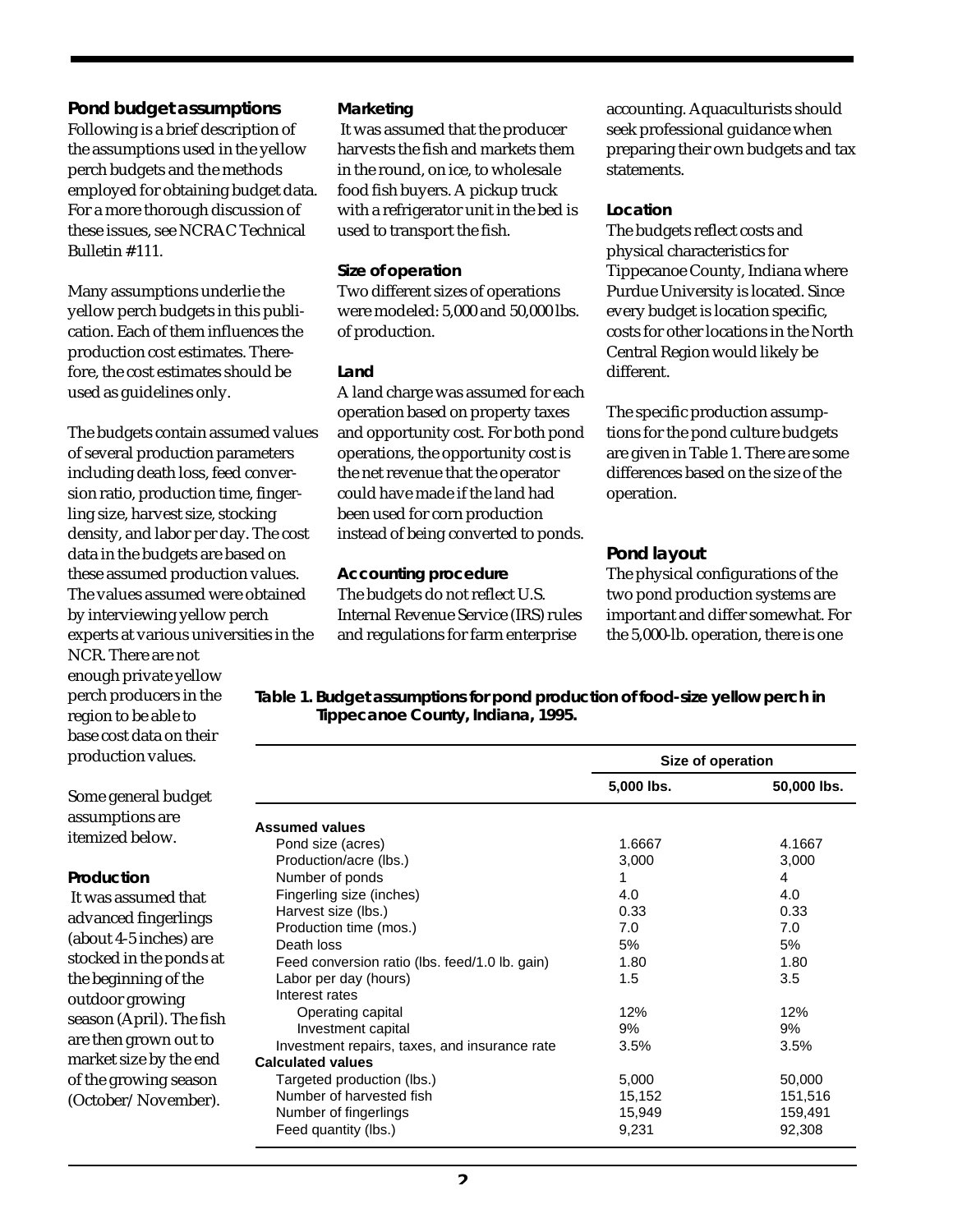**Pond budget assumptions** Following is a brief description of the assumptions used in the yellow perch budgets and the methods employed for obtaining budget data. For a more thorough discussion of these issues, see NCRAC Technical Bulletin # 111.

Many assumptions underlie the yellow perch budgets in this publication. Each of them influences the production cost estimates. Therefore, the cost estimates should be used as guidelines only.

The budgets contain assumed values of several production parameters including death loss, feed conversion ratio, production time, fingerling size, harvest size, stocking density, and labor per day. The cost data in the budgets are based on these assumed production values. The values assumed were obtained by interviewing yellow perch experts at various universities in the NCR. There are not enough private yellow perch producers in the region to be able to base cost data on their production values.

*Marketing*

 It was assumed that the producer harvests the fish and markets them in the round, on ice, to wholesale food fish buyers. A pickup truck with a refrigerator unit in the bed is used to transport the fish.

#### *Size of operation*

Two different sizes of operations were modeled: 5,000 and 50,000 lbs. of production.

#### *Land*

A land charge was assumed for each operation based on property taxes and opportunity cost. For both pond operations, the opportunity cost is the net revenue that the operator could have made if the land had been used for corn production instead of being converted to ponds.

#### *Accounting procedure* The budgets do not reflect U.S. Internal Revenue Service (IRS) rules and regulations for farm enterprise

accounting. Aquaculturists should seek professional guidance when preparing their own budgets and tax statements.

#### *Location*

The budgets reflect costs and physical characteristics for Tippecanoe County, Indiana where Purdue University is located. Since every budget is location specific, costs for other locations in the North Central Region would likely be different.

The specific production assumptions for the pond culture budgets are given in Table 1. There are some differences based on the size of the operation.

## **Pond layout**

The physical configurations of the two pond production systems are important and differ somewhat. For the 5,000-lb. operation, there is one

**Table 1. Budget assumptions for pond production of food-size yellow perch in Tippecanoe County, Indiana, 1995.**

|                                                | Size of operation |             |  |
|------------------------------------------------|-------------------|-------------|--|
|                                                | 5,000 lbs.        | 50,000 lbs. |  |
| <b>Assumed values</b>                          |                   |             |  |
| Pond size (acres)                              | 1.6667            | 4.1667      |  |
| Production/acre (lbs.)                         | 3,000             | 3,000       |  |
| Number of ponds                                | 1                 | 4           |  |
| Fingerling size (inches)                       | 4.0               | 4.0         |  |
| Harvest size (lbs.)                            | 0.33              | 0.33        |  |
| Production time (mos.)                         | 7.0               | 7.0         |  |
| Death loss                                     | 5%                | 5%          |  |
| Feed conversion ratio (lbs. feed/1.0 lb. gain) | 1.80              | 1.80        |  |
| Labor per day (hours)                          | 1.5               | 3.5         |  |
| Interest rates                                 |                   |             |  |
| Operating capital                              | 12%               | 12%         |  |
| Investment capital                             | 9%                | 9%          |  |
| Investment repairs, taxes, and insurance rate  | 3.5%              | 3.5%        |  |
| <b>Calculated values</b>                       |                   |             |  |
| Targeted production (lbs.)                     | 5,000             | 50,000      |  |
| Number of harvested fish                       | 15,152            | 151,516     |  |
| Number of fingerlings                          | 15,949            | 159,491     |  |
| Feed quantity (lbs.)                           | 9,231             | 92,308      |  |

Some general budget assumptions are itemized below.

#### *Production*

 It was assumed that advanced fingerlings (about 4-5 inches) are stocked in the ponds at the beginning of the outdoor growing season (April). The fish are then grown out to market size by the end of the growing season (October/November).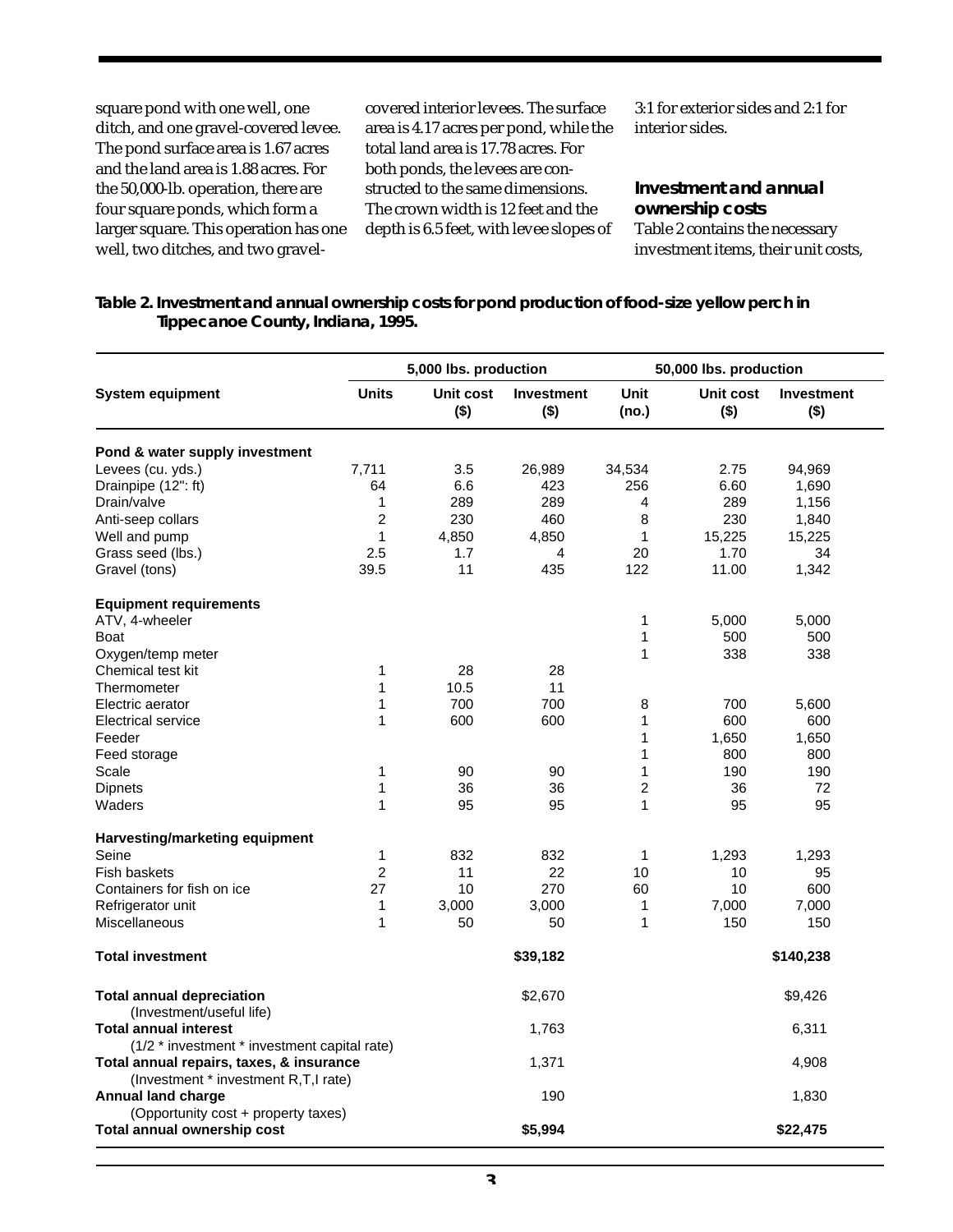square pond with one well, one ditch, and one gravel-covered levee. The pond surface area is 1.67 acres and the land area is 1.88 acres. For the 50,000-lb. operation, there are four square ponds, which form a larger square. This operation has one well, two ditches, and two gravelcovered interior levees. The surface area is 4.17 acres per pond, while the total land area is 17.78 acres. For both ponds, the levees are constructed to the same dimensions. The crown width is 12 feet and the depth is 6.5 feet, with levee slopes of

3:1 for exterior sides and 2:1 for interior sides.

**Investment and annual ownership costs** Table 2 contains the necessary investment items, their unit costs,

**Table 2. Investment and annual ownership costs for pond production of food-size yellow perch in Tippecanoe County, Indiana, 1995.**

|                                                                                          |                | 5,000 lbs. production |                              |                      | 50,000 lbs. production |                              |  |  |
|------------------------------------------------------------------------------------------|----------------|-----------------------|------------------------------|----------------------|------------------------|------------------------------|--|--|
| <b>System equipment</b>                                                                  | <b>Units</b>   | Unit cost<br>$($ \$)  | <b>Investment</b><br>$($ \$) | <b>Unit</b><br>(no.) | Unit cost<br>$($ \$)   | <b>Investment</b><br>$($ \$) |  |  |
| Pond & water supply investment                                                           |                |                       |                              |                      |                        |                              |  |  |
| Levees (cu. yds.)                                                                        | 7,711          | 3.5                   | 26,989                       | 34,534               | 2.75                   | 94,969                       |  |  |
| Drainpipe (12": ft)                                                                      | 64             | 6.6                   | 423                          | 256                  | 6.60                   | 1,690                        |  |  |
| Drain/valve                                                                              | 1              | 289                   | 289                          | 4                    | 289                    | 1,156                        |  |  |
| Anti-seep collars                                                                        | $\overline{c}$ | 230                   | 460                          | 8                    | 230                    | 1,840                        |  |  |
| Well and pump                                                                            | $\mathbf{1}$   | 4,850                 | 4,850                        | 1                    | 15,225                 | 15,225                       |  |  |
| Grass seed (lbs.)                                                                        | 2.5            | 1.7                   | 4                            | 20                   | 1.70                   | 34                           |  |  |
| Gravel (tons)                                                                            | 39.5           | 11                    | 435                          | 122                  | 11.00                  | 1,342                        |  |  |
| <b>Equipment requirements</b>                                                            |                |                       |                              |                      |                        |                              |  |  |
| ATV, 4-wheeler                                                                           |                |                       |                              | 1                    | 5,000                  | 5,000                        |  |  |
| <b>Boat</b>                                                                              |                |                       |                              | $\mathbf{1}$         | 500                    | 500                          |  |  |
| Oxygen/temp meter                                                                        |                |                       |                              | 1                    | 338                    | 338                          |  |  |
| Chemical test kit                                                                        | 1              | 28                    | 28                           |                      |                        |                              |  |  |
| Thermometer                                                                              | $\mathbf{1}$   | 10.5                  | 11                           |                      |                        |                              |  |  |
| Electric aerator                                                                         | 1              | 700                   | 700                          | 8                    | 700                    | 5,600                        |  |  |
| Electrical service                                                                       | 1              | 600                   | 600                          | 1                    | 600                    | 600                          |  |  |
| Feeder                                                                                   |                |                       |                              | 1                    | 1,650                  | 1,650                        |  |  |
| Feed storage                                                                             |                |                       |                              | 1                    | 800                    | 800                          |  |  |
| Scale                                                                                    | 1              | 90                    | 90                           | 1                    | 190                    | 190                          |  |  |
| <b>Dipnets</b>                                                                           | $\mathbf{1}$   | 36                    | 36                           | $\overline{c}$       | 36                     | 72                           |  |  |
| Waders                                                                                   | 1              | 95                    | 95                           | 1                    | 95                     | 95                           |  |  |
| Harvesting/marketing equipment                                                           |                |                       |                              |                      |                        |                              |  |  |
| Seine                                                                                    | 1              | 832                   | 832                          | $\mathbf{1}$         | 1,293                  | 1,293                        |  |  |
| Fish baskets                                                                             | $\overline{2}$ | 11                    | 22                           | 10                   | 10                     | 95                           |  |  |
| Containers for fish on ice                                                               | 27             | 10                    | 270                          | 60                   | 10                     | 600                          |  |  |
| Refrigerator unit                                                                        | 1              | 3,000                 | 3,000                        | 1                    | 7,000                  | 7,000                        |  |  |
| <b>Miscellaneous</b>                                                                     | 1              | 50                    | 50                           | 1                    | 150                    | 150                          |  |  |
| <b>Total investment</b>                                                                  |                |                       | \$39,182                     |                      |                        | \$140,238                    |  |  |
| <b>Total annual depreciation</b>                                                         |                |                       | \$2,670                      |                      |                        | \$9,426                      |  |  |
| (Investment/useful life)<br><b>Total annual interest</b>                                 |                |                       | 1,763                        |                      | 6,311                  |                              |  |  |
| (1/2 * investment * investment capital rate)<br>Total annual repairs, taxes, & insurance |                |                       | 1,371                        |                      |                        | 4,908                        |  |  |
| (Investment * investment R,T,I rate)                                                     |                |                       |                              |                      |                        |                              |  |  |
| <b>Annual land charge</b><br>(Opportunity cost + property taxes)                         |                |                       | 190                          |                      |                        | 1,830                        |  |  |
| Total annual ownership cost                                                              |                |                       | \$5,994                      |                      |                        | \$22,475                     |  |  |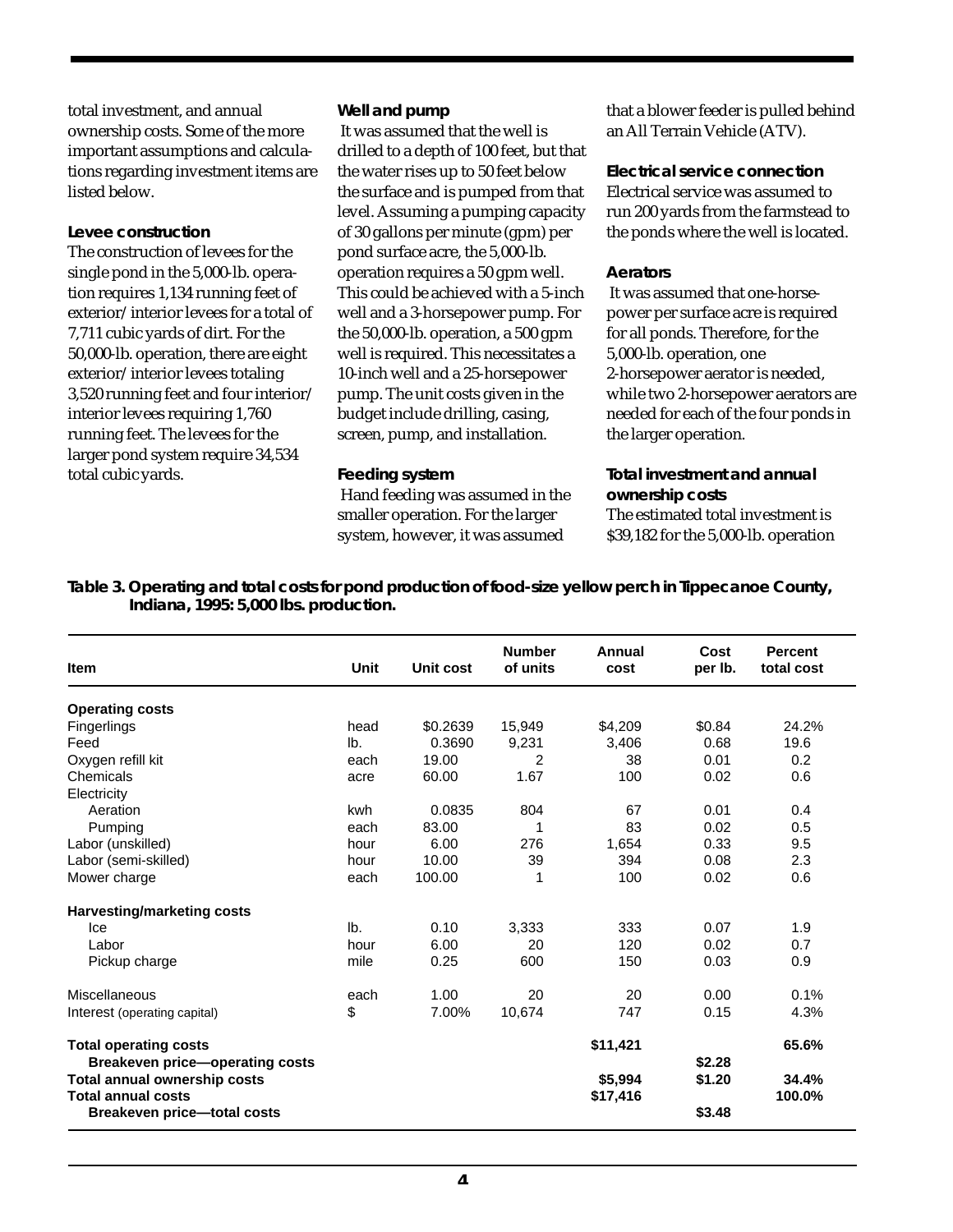total investment, and annual ownership costs. Some of the more important assumptions and calculations regarding investment items are listed below.

#### *Levee construction* The construction of levees for the single pond in the 5,000-lb. operation requires 1,134 running feet of exterior/interior levees for a total of 7,711 cubic yards of dirt. For the 50,000-lb. operation, there are eight exterior/interior levees totaling 3,520 running feet and four interior/ interior levees requiring 1,760 running feet. The levees for the larger pond system require 34,534 total cubic yards.

#### *Well and pump*

 It was assumed that the well is drilled to a depth of 100 feet, but that the water rises up to 50 feet below the surface and is pumped from that level. Assuming a pumping capacity of 30 gallons per minute (gpm) per pond surface acre, the 5,000-lb. operation requires a 50 gpm well. This could be achieved with a 5-inch well and a 3-horsepower pump. For the 50,000-lb. operation, a 500 gpm well is required. This necessitates a 10-inch well and a 25-horsepower pump. The unit costs given in the budget include drilling, casing, screen, pump, and installation.

#### *Feeding system*

 Hand feeding was assumed in the smaller operation. For the larger system, however, it was assumed

that a blower feeder is pulled behind an All Terrain Vehicle (ATV).

*Electrical service connection* Electrical service was assumed to run 200 yards from the farmstead to the ponds where the well is located.

#### *Aerators*

 It was assumed that one-horsepower per surface acre is required for all ponds. Therefore, for the 5,000-lb. operation, one 2-horsepower aerator is needed, while two 2-horsepower aerators are needed for each of the four ponds in the larger operation.

*Total investment and annual ownership costs* The estimated total investment is \$39,182 for the 5,000-lb. operation

**Table 3. Operating and total costs for pond production of food-size yellow perch in Tippecanoe County, Indiana, 1995: 5,000 lbs. production.**

| <b>Item</b>                                               | Unit | Unit cost | <b>Number</b><br>of units | Annual<br>cost      | Cost<br>per lb. | <b>Percent</b><br>total cost |
|-----------------------------------------------------------|------|-----------|---------------------------|---------------------|-----------------|------------------------------|
| <b>Operating costs</b>                                    |      |           |                           |                     |                 |                              |
| Fingerlings                                               | head | \$0.2639  | 15,949                    | \$4,209             | \$0.84          | 24.2%                        |
| Feed                                                      | lb.  | 0.3690    | 9,231                     | 3,406               | 0.68            | 19.6                         |
| Oxygen refill kit                                         | each | 19.00     | 2                         | 38                  | 0.01            | 0.2                          |
| Chemicals                                                 | acre | 60.00     | 1.67                      | 100                 | 0.02            | 0.6                          |
| Electricity                                               |      |           |                           |                     |                 |                              |
| Aeration                                                  | kwh  | 0.0835    | 804                       | 67                  | 0.01            | 0.4                          |
| Pumping                                                   | each | 83.00     |                           | 83                  | 0.02            | 0.5                          |
| Labor (unskilled)                                         | hour | 6.00      | 276                       | 1,654               | 0.33            | 9.5                          |
| Labor (semi-skilled)                                      | hour | 10.00     | 39                        | 394                 | 0.08            | 2.3                          |
| Mower charge                                              | each | 100.00    | 1                         | 100                 | 0.02            | 0.6                          |
| Harvesting/marketing costs                                |      |           |                           |                     |                 |                              |
| Ice                                                       | lb.  | 0.10      | 3,333                     | 333                 | 0.07            | 1.9                          |
| Labor                                                     | hour | 6.00      | 20                        | 120                 | 0.02            | 0.7                          |
| Pickup charge                                             | mile | 0.25      | 600                       | 150                 | 0.03            | 0.9                          |
| Miscellaneous                                             | each | 1.00      | 20                        | 20                  | 0.00            | 0.1%                         |
| Interest (operating capital)                              | \$   | 7.00%     | 10,674                    | 747                 | 0.15            | 4.3%                         |
| <b>Total operating costs</b>                              |      |           |                           | \$11,421            |                 | 65.6%                        |
| <b>Breakeven price-operating costs</b>                    |      |           |                           |                     | \$2.28          |                              |
| Total annual ownership costs<br><b>Total annual costs</b> |      |           |                           | \$5,994<br>\$17,416 | \$1.20          | 34.4%<br>100.0%              |
| <b>Breakeven price-total costs</b>                        |      |           |                           |                     | \$3.48          |                              |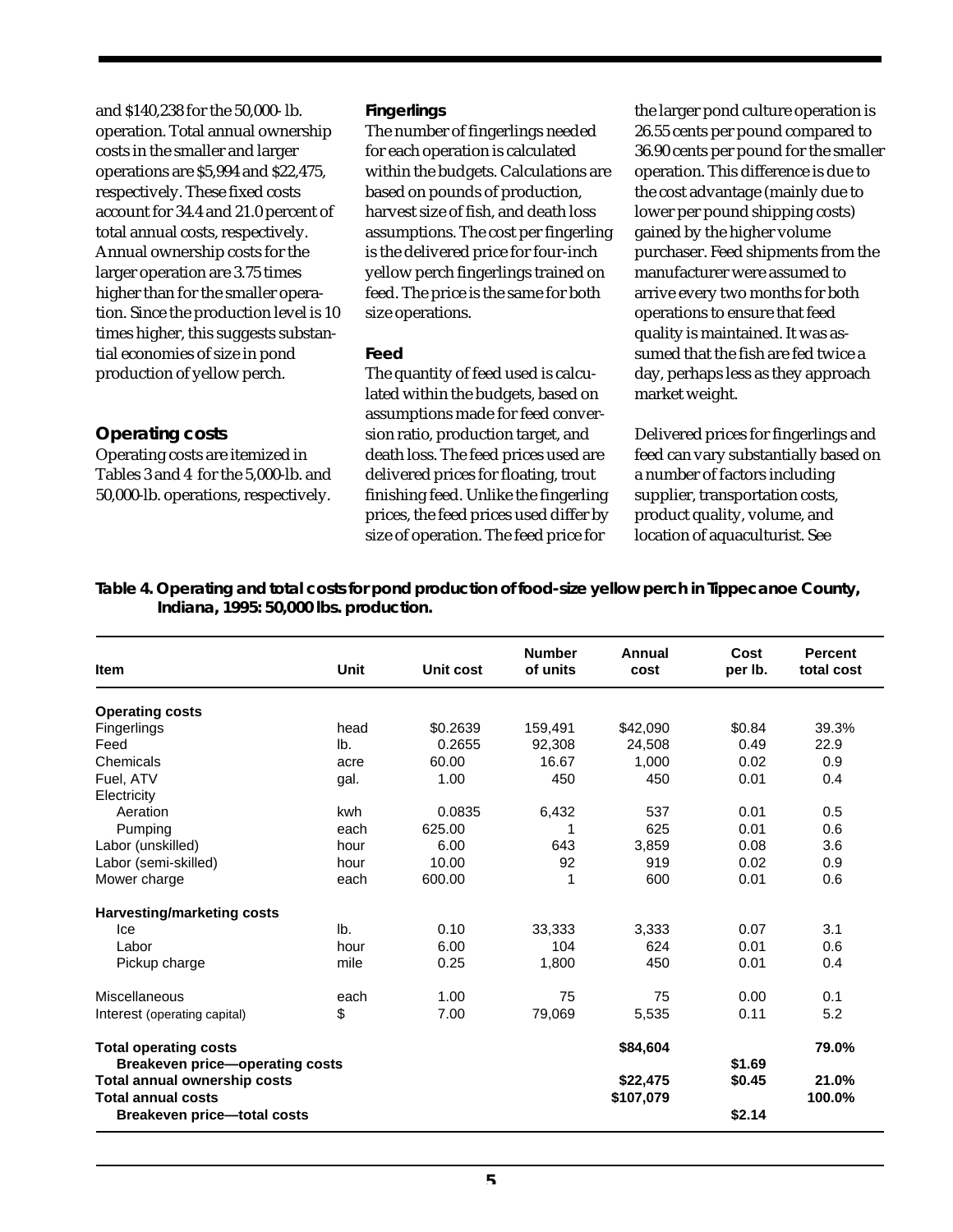| and \$140,238 for the 50,000-lb.       | <b>Fingerlings</b>            |
|----------------------------------------|-------------------------------|
| operation. Total annual ownership      | The number of fingerlings     |
| costs in the smaller and larger        | for each operation is calcul  |
| operations are \$5,994 and \$22,475,   | within the budgets. Calcula   |
| respectively. These fixed costs        | based on pounds of produc     |
| account for 34.4 and 21.0 percent of   | harvest size of fish, and dea |
| total annual costs, respectively.      | assumptions. The cost per     |
| Annual ownership costs for the         | is the delivered price for fo |
| larger operation are 3.75 times        | yellow perch fingerlings tr   |
| higher than for the smaller opera-     | feed. The price is the same   |
| tion. Since the production level is 10 | size operations.              |
| times higher, this suggests substan-   |                               |
| tial economies of size in pond         | Feed                          |
| production of yellow perch.            | The quantity of feed used i   |
|                                        | lated within the budgets, b   |
|                                        |                               |

**Operating costs** Operating costs are itemized in Tables 3 and 4 for the 5,000-lb. and 50,000-lb. operations, respectively.

#### *Fingerlings*

needed ated ations are ction. ath loss fingerling ur-inch ained on for both

s calcuased on assumptions made for feed conversion ratio, production target, and death loss. The feed prices used are delivered prices for floating, trout finishing feed. Unlike the fingerling prices, the feed prices used differ by size of operation. The feed price for

the larger pond culture operation is 26.55 cents per pound compared to 36.90 cents per pound for the smaller operation. This difference is due to the cost advantage (mainly due to lower per pound shipping costs) gained by the higher volume purchaser. Feed shipments from the manufacturer were assumed to arrive every two months for both operations to ensure that feed quality is maintained. It was assumed that the fish are fed twice a day, perhaps less as they approach market weight.

Delivered prices for fingerlings and feed can vary substantially based on a number of factors including supplier, transportation costs, product quality, volume, and location of aquaculturist. See

**Table 4. Operating and total costs for pond production of food-size yellow perch in Tippecanoe County, Indiana, 1995: 50,000 lbs. production.**

| Item                                                            | Unit | Unit cost | <b>Number</b><br>of units | Annual<br>cost | Cost<br>per lb. | <b>Percent</b><br>total cost |
|-----------------------------------------------------------------|------|-----------|---------------------------|----------------|-----------------|------------------------------|
| <b>Operating costs</b>                                          |      |           |                           |                |                 |                              |
| Fingerlings                                                     | head | \$0.2639  | 159,491                   | \$42,090       | \$0.84          | 39.3%                        |
| Feed                                                            | lb.  | 0.2655    | 92,308                    | 24,508         | 0.49            | 22.9                         |
| Chemicals                                                       | acre | 60.00     | 16.67                     | 1,000          | 0.02            | 0.9                          |
| Fuel, ATV                                                       | gal. | 1.00      | 450                       | 450            | 0.01            | 0.4                          |
| Electricity                                                     |      |           |                           |                |                 |                              |
| Aeration                                                        | kwh  | 0.0835    | 6,432                     | 537            | 0.01            | 0.5                          |
| Pumping                                                         | each | 625.00    |                           | 625            | 0.01            | 0.6                          |
| Labor (unskilled)                                               | hour | 6.00      | 643                       | 3,859          | 0.08            | 3.6                          |
| Labor (semi-skilled)                                            | hour | 10.00     | 92                        | 919            | 0.02            | 0.9                          |
| Mower charge                                                    | each | 600.00    | 1                         | 600            | 0.01            | 0.6                          |
| Harvesting/marketing costs                                      |      |           |                           |                |                 |                              |
| Ice                                                             | lb.  | 0.10      | 33,333                    | 3,333          | 0.07            | 3.1                          |
| Labor                                                           | hour | 6.00      | 104                       | 624            | 0.01            | 0.6                          |
| Pickup charge                                                   | mile | 0.25      | 1,800                     | 450            | 0.01            | 0.4                          |
| Miscellaneous                                                   | each | 1.00      | 75                        | 75             | 0.00            | 0.1                          |
| Interest (operating capital)                                    | \$   | 7.00      | 79,069                    | 5,535          | 0.11            | 5.2                          |
| <b>Total operating costs</b>                                    |      |           |                           | \$84,604       |                 | 79.0%                        |
| <b>Breakeven price-operating costs</b>                          |      |           |                           |                | \$1.69          |                              |
| Total annual ownership costs                                    |      |           |                           | \$22,475       | \$0.45          | 21.0%                        |
| <b>Total annual costs</b><br><b>Breakeven price-total costs</b> |      |           |                           | \$107,079      | \$2.14          | 100.0%                       |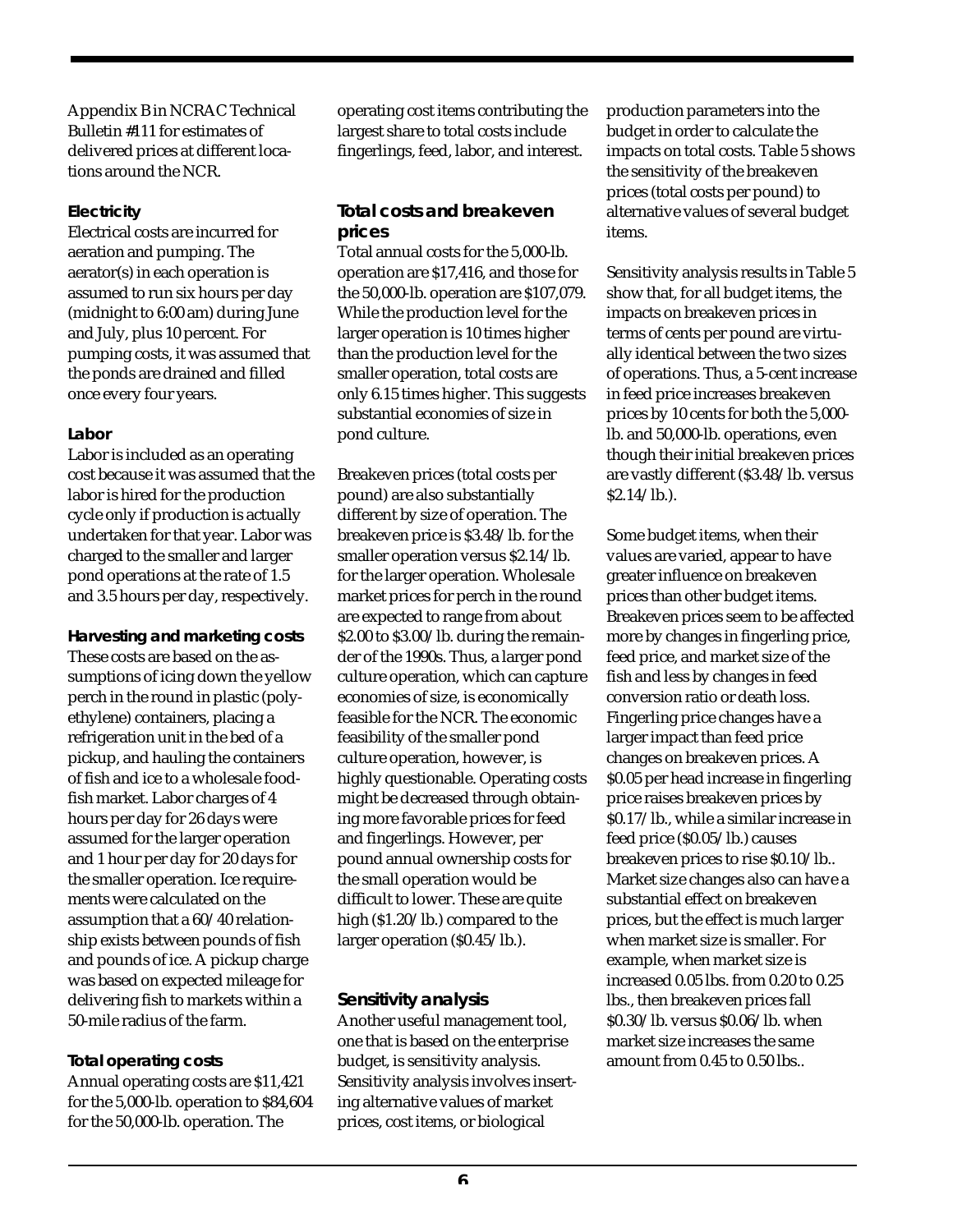Appendix B in NCRAC Technical Bulletin #111 for estimates of delivered prices at different locations around the NCR.

## *Electricity*

Electrical costs are incurred for aeration and pumping. The aerator(s) in each operation is assumed to run six hours per day (midnight to 6:00 am) during June and July, plus 10 percent. For pumping costs, it was assumed that the ponds are drained and filled once every four years.

# *Labor*

Labor is included as an operating cost because it was assumed that the labor is hired for the production cycle only if production is actually undertaken for that year. Labor was charged to the smaller and larger pond operations at the rate of 1.5 and 3.5 hours per day, respectively.

*Harvesting and marketing costs* These costs are based on the assumptions of icing down the yellow perch in the round in plastic (polyethylene) containers, placing a refrigeration unit in the bed of a pickup, and hauling the containers of fish and ice to a wholesale foodfish market. Labor charges of 4 hours per day for 26 days were assumed for the larger operation and 1 hour per day for 20 days for the smaller operation. Ice requirements were calculated on the assumption that a 60/40 relationship exists between pounds of fish and pounds of ice. A pickup charge was based on expected mileage for delivering fish to markets within a 50-mile radius of the farm.

# *Total operating costs*

Annual operating costs are \$11,421 for the 5,000-lb. operation to \$84,604 for the 50,000-lb. operation. The

operating cost items contributing the largest share to total costs include fingerlings, feed, labor, and interest.

# **Total costs and breakeven prices**

Total annual costs for the 5,000-lb. operation are \$17,416, and those for the 50,000-lb. operation are \$107,079. While the production level for the larger operation is 10 times higher than the production level for the smaller operation, total costs are only 6.15 times higher. This suggests substantial economies of size in pond culture.

Breakeven prices (total costs per pound) are also substantially different by size of operation. The breakeven price is \$3.48/lb. for the smaller operation versus \$2.14/lb. for the larger operation. Wholesale market prices for perch in the round are expected to range from about \$2.00 to \$3.00/lb. during the remainder of the 1990s. Thus, a larger pond culture operation, which can capture economies of size, is economically feasible for the NCR. The economic feasibility of the smaller pond culture operation, however, is highly questionable. Operating costs might be decreased through obtaining more favorable prices for feed and fingerlings. However, per pound annual ownership costs for the small operation would be difficult to lower. These are quite high (\$1.20/lb.) compared to the larger operation (\$0.45/lb.).

# **Sensitivity analysis**

Another useful management tool, one that is based on the enterprise budget, is sensitivity analysis. Sensitivity analysis involves inserting alternative values of market prices, cost items, or biological

production parameters into the budget in order to calculate the impacts on total costs. Table 5 shows the sensitivity of the breakeven prices (total costs per pound) to alternative values of several budget items.

Sensitivity analysis results in Table 5 show that, for all budget items, the impacts on breakeven prices in terms of cents per pound are virtually identical between the two sizes of operations. Thus, a 5-cent increase in feed price increases breakeven prices by 10 cents for both the 5,000 lb. and 50,000-lb. operations, even though their initial breakeven prices are vastly different (\$3.48/lb. versus \$2.14/lb.).

Some budget items, when their values are varied, appear to have greater influence on breakeven prices than other budget items. Breakeven prices seem to be affected more by changes in fingerling price, feed price, and market size of the fish and less by changes in feed conversion ratio or death loss. Fingerling price changes have a larger impact than feed price changes on breakeven prices. A \$0.05 per head increase in fingerling price raises breakeven prices by \$0.17/lb., while a similar increase in feed price (\$0.05/lb.) causes breakeven prices to rise \$0.10/lb.. Market size changes also can have a substantial effect on breakeven prices, but the effect is much larger when market size is smaller. For example, when market size is increased 0.05 lbs. from 0.20 to 0.25 lbs., then breakeven prices fall \$0.30/lb. versus \$0.06/lb. when market size increases the same amount from  $0.45$  to  $0.50$  lbs.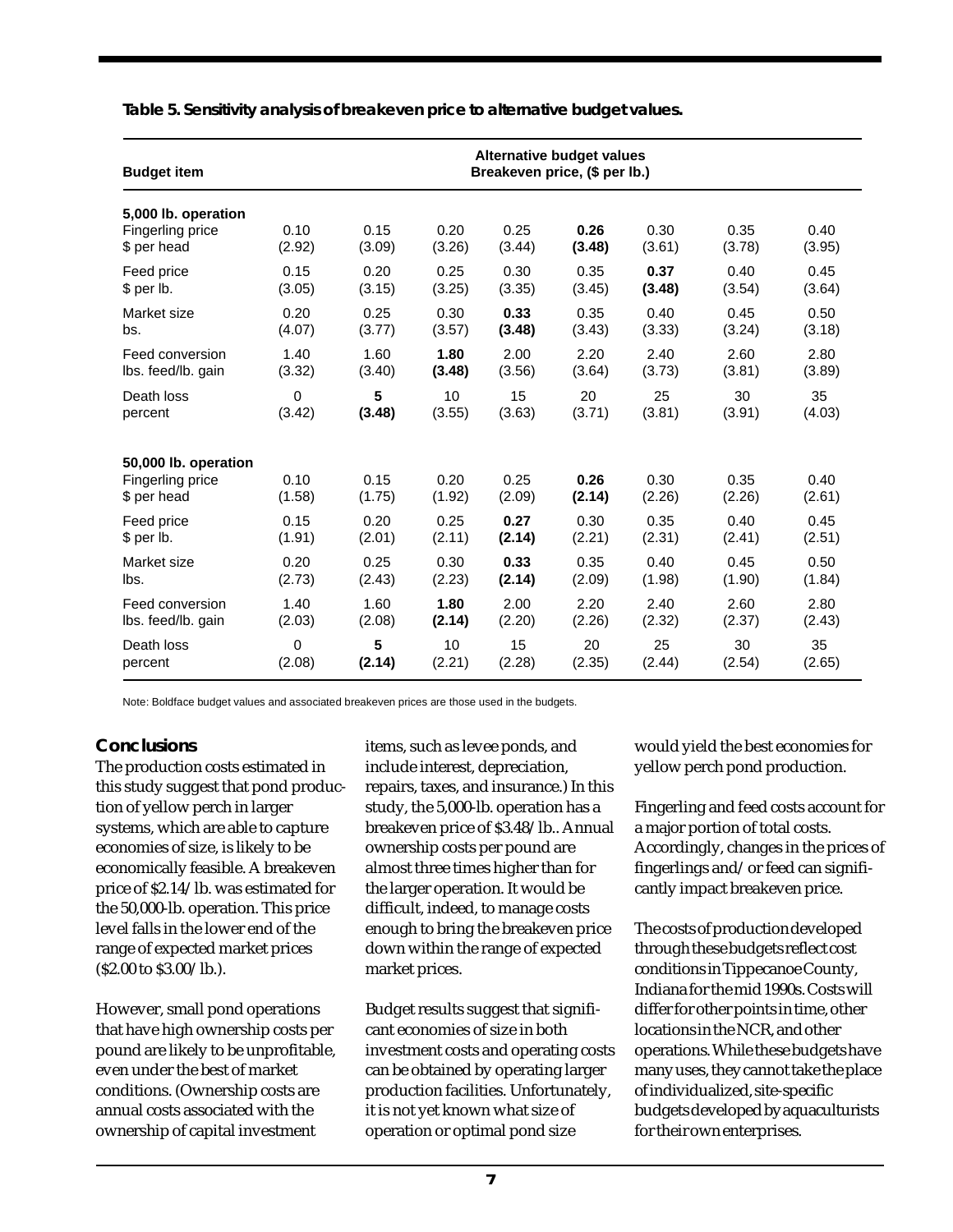| <b>Budget item</b>                                      | Alternative budget values<br>Breakeven price, (\$ per lb.) |                |                |                |                |                |                |                |
|---------------------------------------------------------|------------------------------------------------------------|----------------|----------------|----------------|----------------|----------------|----------------|----------------|
| 5,000 lb. operation<br>Fingerling price<br>\$ per head  | 0.10<br>(2.92)                                             | 0.15<br>(3.09) | 0.20<br>(3.26) | 0.25<br>(3.44) | 0.26<br>(3.48) | 0.30<br>(3.61) | 0.35<br>(3.78) | 0.40<br>(3.95) |
| Feed price                                              | 0.15                                                       | 0.20           | 0.25           | 0.30           | 0.35           | 0.37           | 0.40           | 0.45           |
| $$$ per lb.                                             | (3.05)                                                     | (3.15)         | (3.25)         | (3.35)         | (3.45)         | (3.48)         | (3.54)         | (3.64)         |
| Market size                                             | 0.20                                                       | 0.25           | 0.30           | 0.33           | 0.35           | 0.40           | 0.45           | 0.50           |
| bs.                                                     | (4.07)                                                     | (3.77)         | (3.57)         | (3.48)         | (3.43)         | (3.33)         | (3.24)         | (3.18)         |
| Feed conversion                                         | 1.40                                                       | 1.60           | 1.80           | 2.00           | 2.20           | 2.40           | 2.60           | 2.80           |
| lbs. feed/lb. gain                                      | (3.32)                                                     | (3.40)         | (3.48)         | (3.56)         | (3.64)         | (3.73)         | (3.81)         | (3.89)         |
| Death loss                                              | $\mathbf 0$                                                | 5              | 10             | 15             | 20             | 25             | 30             | 35             |
| percent                                                 | (3.42)                                                     | (3.48)         | (3.55)         | (3.63)         | (3.71)         | (3.81)         | (3.91)         | (4.03)         |
| 50,000 lb. operation<br>Fingerling price<br>\$ per head | 0.10<br>(1.58)                                             | 0.15<br>(1.75) | 0.20<br>(1.92) | 0.25<br>(2.09) | 0.26<br>(2.14) | 0.30<br>(2.26) | 0.35<br>(2.26) | 0.40<br>(2.61) |
| Feed price                                              | 0.15                                                       | 0.20           | 0.25           | 0.27           | 0.30           | 0.35           | 0.40           | 0.45           |
| \$ per lb.                                              | (1.91)                                                     | (2.01)         | (2.11)         | (2.14)         | (2.21)         | (2.31)         | (2.41)         | (2.51)         |
| Market size                                             | 0.20                                                       | 0.25           | 0.30           | 0.33           | 0.35           | 0.40           | 0.45           | 0.50           |
| lbs.                                                    | (2.73)                                                     | (2.43)         | (2.23)         | (2.14)         | (2.09)         | (1.98)         | (1.90)         | (1.84)         |
| Feed conversion                                         | 1.40                                                       | 1.60           | 1.80           | 2.00           | 2.20           | 2.40           | 2.60           | 2.80           |
| lbs. feed/lb. gain                                      | (2.03)                                                     | (2.08)         | (2.14)         | (2.20)         | (2.26)         | (2.32)         | (2.37)         | (2.43)         |
| Death loss                                              | 0                                                          | $5\phantom{1}$ | 10             | 15             | 20             | 25             | 30             | 35             |
| percent                                                 | (2.08)                                                     | (2.14)         | (2.21)         | (2.28)         | (2.35)         | (2.44)         | (2.54)         | (2.65)         |

**Table 5. Sensitivity analysis of breakeven price to alternative budget values.**

Note: Boldface budget values and associated breakeven prices are those used in the budgets.

## **Conclusions**

The production costs estimated in this study suggest that pond production of yellow perch in larger systems, which are able to capture economies of size, is likely to be economically feasible. A breakeven price of \$2.14/lb. was estimated for the 50,000-lb. operation. This price level falls in the lower end of the range of expected market prices (\$2.00 to \$3.00/lb.).

However, small pond operations that have high ownership costs per pound are likely to be unprofitable, even under the best of market conditions. (Ownership costs are annual costs associated with the ownership of capital investment

items, such as levee ponds, and include interest, depreciation, repairs, taxes, and insurance.) In this study, the 5,000-lb. operation has a breakeven price of \$3.48/lb.. Annual ownership costs per pound are almost three times higher than for the larger operation. It would be difficult, indeed, to manage costs enough to bring the breakeven price down within the range of expected market prices.

Budget results suggest that significant economies of size in both investment costs and operating costs can be obtained by operating larger production facilities. Unfortunately, it is not yet known what size of operation or optimal pond size

would yield the best economies for yellow perch pond production.

Fingerling and feed costs account for a major portion of total costs. Accordingly, changes in the prices of fingerlings and/or feed can significantly impact breakeven price.

The costs of production developed through these budgets reflect cost conditions in Tippecanoe County, Indiana for the mid 1990s. Costs will differ for other points in time, other locations in the NCR, and other operations. While these budgets have many uses, they cannot take the place of individualized, site-specific budgets developed by aquaculturists for their own enterprises.